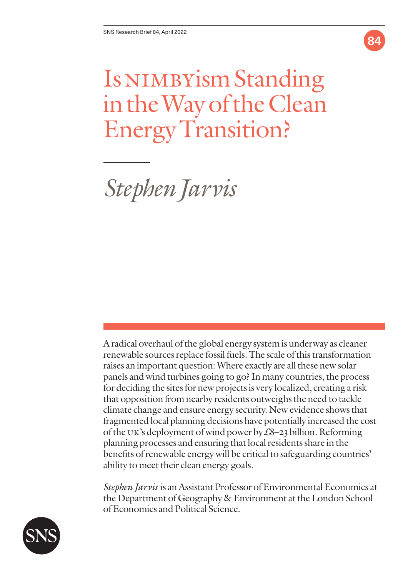

# Is NIMBYism Standing in the Way of the Clean Energy Transition?

*Stephen Jarvis*

A radical overhaul of the global energy system is underway as cleaner renewable sources replace fossil fuels. The scale of this transformation raises an important question: Where exactly are all these new solar panels and wind turbines going to go? In many countries, the process for deciding the sites for new projects is very localized, creating a risk that opposition from nearby residents outweighs the need to tackle climate change and ensure energy security. New evidence shows that fragmented local planning decisions have potentially increased the cost of the UK's deployment of wind power by  $\pounds8-23$  billion. Reforming planning processes and ensuring that local residents share in the benefits of renewable energy will be critical to safeguarding countries' ability to meet their clean energy goals.

*Stephen Jarvis* is an Assistant Professor of Environmental Economics at the Department of Geography & Environment at the London School of Economics and Political Science.

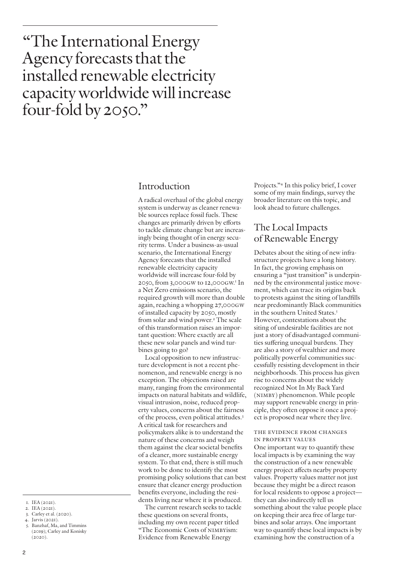## "The International Energy Agency forecasts that the installed renewable electricity capacity worldwide will increase four-fold by 2050."

### Introduction

A radical overhaul of the global energy system is underway as cleaner renewable sources replace fossil fuels. These changes are primarily driven by efforts to tackle climate change but are increasingly being thought of in energy security terms. Under a business-as-usual scenario, the International Energy Agency forecasts that the installed renewable electricity capacity worldwide will increase four-fold by 2050, from 3,000GW to 12,000GW. 1 In a Net Zero emissions scenario, the required growth will more than double again, reaching a whopping 27,000GW of installed capacity by 2050, mostly from solar and wind power.<sup>2</sup> The scale of this transformation raises an important question: Where exactly are all these new solar panels and wind turbines going to go?

Local opposition to new infrastructure development is not a recent phenomenon, and renewable energy is no exception. The objections raised are many, ranging from the environmental impacts on natural habitats and wildlife, visual intrusion, noise, reduced property values, concerns about the fairness of the process, even political attitudes.3 A critical task for researchers and policymakers alike is to understand the nature of these concerns and weigh them against the clear societal benefits of a cleaner, more sustainable energy system. To that end, there is still much work to be done to identify the most promising policy solutions that can best ensure that cleaner energy production benefits everyone, including the residents living near where it is produced.

The current research seeks to tackle these questions on several fronts, including my own recent paper titled "The Economic Costs of NIMBYism: Evidence from Renewable Energy

Projects."4 In this policy brief, I cover some of my main findings, survey the broader literature on this topic, and look ahead to future challenges.

## The Local Impacts of Renewable Energy

Debates about the siting of new infrastructure projects have a long history. In fact, the growing emphasis on ensuring a "just transition" is underpinned by the environmental justice movement, which can trace its origins back to protests against the siting of landfills near predominantly Black communities in the southern United States.<sup>5</sup> However, contestations about the siting of undesirable facilities are not just a story of disadvantaged communities suffering unequal burdens. They are also a story of wealthier and more politically powerful communities successfully resisting development in their neighborhoods. This process has given rise to concerns about the widely recognized Not In My Back Yard (NIMBY) phenomenon. While people may support renewable energy in principle, they often oppose it once a project is proposed near where they live.

#### The Evidence From Changes in Property Values

One important way to quantify these local impacts is by examining the way the construction of a new renewable energy project affects nearby property values. Property values matter not just because they might be a direct reason for local residents to oppose a project they can also indirectly tell us something about the value people place on keeping their area free of large turbines and solar arrays. One important way to quantify these local impacts is by examining how the construction of a

5. Banzhaf, Ma, and Timmins (2019); Carley and Konisky  $(2020)$ .

<sup>1.</sup> IEA (2021).

<sup>2.</sup> IEA (2021). 3. Carley et al. (2020).

<sup>4.</sup> Jarvis (2021).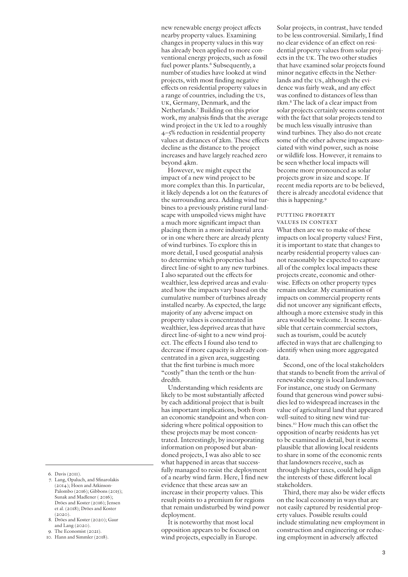6. Davis (2011).

- 7. Lang, Opaluch, and Sfinarolakis (2014); Hoen and Atkinson-Palombo (2016); Gibbons (2015); Sunak and Madlener ( 2016); Dröes and Koster (2016); Jensen et al. (2018); Dröes and Koster  $(2020)$ .
- 8. Dröes and Koster (2020); Gaur and Lang (2020).
- 9. The Economist (2021).
- 10. Hann and Simmler (2018).

new renewable energy project affects nearby property values. Examining changes in property values in this way has already been applied to more conventional energy projects, such as fossil fuel power plants.<sup>6</sup> Subsequently, a number of studies have looked at wind projects, with most finding negative effects on residential property values in a range of countries, including the US, UK, Germany, Denmark, and the Netherlands.7 Building on this prior work, my analysis finds that the average wind project in the UK led to a roughly 4–5% reduction in residential property values at distances of 2km. These effects decline as the distance to the project increases and have largely reached zero beyond 4km.

However, we might expect the impact of a new wind project to be more complex than this. In particular, it likely depends a lot on the features of the surrounding area. Adding wind turbines to a previously pristine rural landscape with unspoiled views might have a much more significant impact than placing them in a more industrial area or in one where there are already plenty of wind turbines. To explore this in more detail, I used geospatial analysis to determine which properties had direct line-of-sight to any new turbines. I also separated out the effects for wealthier, less deprived areas and evaluated how the impacts vary based on the cumulative number of turbines already installed nearby. As expected, the large majority of any adverse impact on property values is concentrated in wealthier, less deprived areas that have direct line-of-sight to a new wind project. The effects I found also tend to decrease if more capacity is already concentrated in a given area, suggesting that the first turbine is much more "costly" than the tenth or the hundredth.

Understanding which residents are likely to be most substantially affected by each additional project that is built has important implications, both from an economic standpoint and when considering where political opposition to these projects may be most concentrated. Interestingly, by incorporating information on proposed but abandoned projects, I was also able to see what happened in areas that successfully managed to resist the deployment of a nearby wind farm. Here, I find new evidence that these areas saw an increase in their property values. This result points to a premium for regions that remain undisturbed by wind power deployment.

It is noteworthy that most local opposition appears to be focused on wind projects, especially in Europe.

Solar projects, in contrast, have tended to be less controversial. Similarly, I find no clear evidence of an effect on residential property values from solar projects in the UK. The two other studies that have examined solar projects found minor negative effects in the Netherlands and the US, although the evidence was fairly weak, and any effect was confined to distances of less than 1km.8 The lack of a clear impact from solar projects certainly seems consistent with the fact that solar projects tend to be much less visually intrusive than wind turbines. They also do not create some of the other adverse impacts associated with wind power, such as noise or wildlife loss. However, it remains to be seen whether local impacts will become more pronounced as solar projects grow in size and scope. If recent media reports are to be believed, there is already anecdotal evidence that this is happening.<sup>9</sup>

#### PUTTING PROPERTY Values in Context

What then are we to make of these impacts on local property values? First, it is important to state that changes to nearby residential property values cannot reasonably be expected to capture all of the complex local impacts these projects create, economic and otherwise. Effects on other property types remain unclear. My examination of impacts on commercial property rents did not uncover any significant effects, although a more extensive study in this area would be welcome. It seems plausible that certain commercial sectors, such as tourism, could be acutely affected in ways that are challenging to identify when using more aggregated data.

Second, one of the local stakeholders that stands to benefit from the arrival of renewable energy is local landowners. For instance, one study on Germany found that generous wind power subsidies led to widespread increases in the value of agricultural land that appeared well-suited to siting new wind turbines.<sup>10</sup> How much this can offset the opposition of nearby residents has yet to be examined in detail, but it seems plausible that allowing local residents to share in some of the economic rents that landowners receive, such as through higher taxes, could help align the interests of these different local stakeholders.

Third, there may also be wider effects on the local economy in ways that are not easily captured by residential property values. Possible results could include stimulating new employment in construction and engineering or reducing employment in adversely affected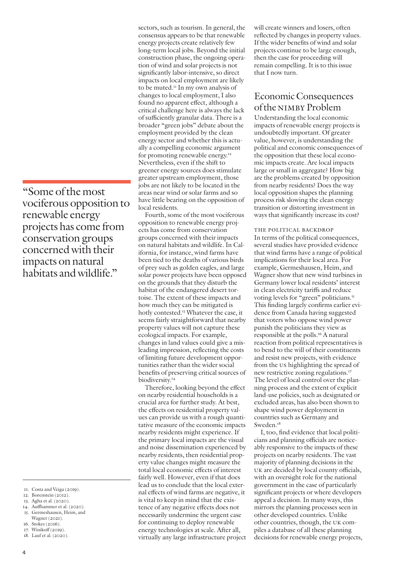"Some of the most vociferous opposition to renewable energy projects has come from conservation groups concerned with their impacts on natural habitats and wildlife."

11. Costa and Veiga (2019).

12. Borenstein (2012).

13. Agha et al. (2020).

- 14. Auffhammer et al. (2020). 15. Germeshausen, Heim, and Wagner (2021).
- 16. Stokes (2016).
- 17. Winikoff (2019).
- 18. Lauf et al. (2020).

sectors, such as tourism. In general, the consensus appears to be that renewable energy projects create relatively few long-term local jobs. Beyond the initial construction phase, the ongoing operation of wind and solar projects is not significantly labor-intensive, so direct impacts on local employment are likely to be muted.11 In my own analysis of changes to local employment, I also found no apparent effect, although a critical challenge here is always the lack of sufficiently granular data. There is a broader "green jobs" debate about the employment provided by the clean energy sector and whether this is actually a compelling economic argument for promoting renewable energy.<sup>12</sup> Nevertheless, even if the shift to greener energy sources does stimulate greater upstream employment, those jobs are not likely to be located in the areas near wind or solar farms and so have little bearing on the opposition of local residents.

Fourth, some of the most vociferous opposition to renewable energy projects has come from conservation groups concerned with their impacts on natural habitats and wildlife. In California, for instance, wind farms have been tied to the deaths of various birds of prey such as golden eagles, and large solar power projects have been opposed on the grounds that they disturb the habitat of the endangered desert tortoise. The extent of these impacts and how much they can be mitigated is hotly contested.<sup>13</sup> Whatever the case, it seems fairly straightforward that nearby property values will not capture these ecological impacts. For example, changes in land values could give a misleading impression, reflecting the costs of limiting future development opportunities rather than the wider social benefits of preserving critical sources of biodiversity.<sup>14</sup>

Therefore, looking beyond the effect on nearby residential households is a crucial area for further study. At best, the effects on residential property values can provide us with a rough quantitative measure of the economic impacts nearby residents might experience. If the primary local impacts are the visual and noise dissemination experienced by nearby residents, then residential property value changes might measure the total local economic effects of interest fairly well. However, even if that does lead us to conclude that the local external effects of wind farms are negative, it is vital to keep in mind that the existence of any negative effects does not necessarily undermine the urgent case for continuing to deploy renewable energy technologies at scale. After all, virtually any large infrastructure project

will create winners and losers, often reflected by changes in property values. If the wider benefits of wind and solar projects continue to be large enough, then the case for proceeding will remain compelling. It is to this issue that I now turn.

## Economic Consequences of the NIMBY Problem

Understanding the local economic impacts of renewable energy projects is undoubtedly important. Of greater value, however, is understanding the political and economic consequences of the opposition that these local economic impacts create. Are local impacts large or small in aggregate? How big are the problems created by opposition from nearby residents? Does the way local opposition shapes the planning process risk slowing the clean energy transition or distorting investment in ways that significantly increase its cost?

The Political Backdrop

In terms of the political consequences, several studies have provided evidence that wind farms have a range of political implications for their local area. For example, Germeshausen, Heim, and Wagner show that new wind turbines in Germany lower local residents' interest in clean electricity tariffs and reduce voting levels for "green" politicians.<sup>15</sup> This finding largely confirms earlier evidence from Canada having suggested that voters who oppose wind power punish the politicians they view as responsible at the polls.16 A natural reaction from political representatives is to bend to the will of their constituents and resist new projects, with evidence from the US highlighting the spread of new restrictive zoning regulations.17 The level of local control over the planning process and the extent of explicit land-use policies, such as designated or excluded areas, has also been shown to shape wind power deployment in countries such as Germany and Sweden.<sup>18</sup>

I, too, find evidence that local politicians and planning officials are noticeably responsive to the impacts of these projects on nearby residents. The vast majority of planning decisions in the UK are decided by local county officials, with an oversight role for the national government in the case of particularly significant projects or where developers appeal a decision. In many ways, this mirrors the planning processes seen in other developed countries. Unlike other countries, though, the UK compiles a database of all these planning decisions for renewable energy projects,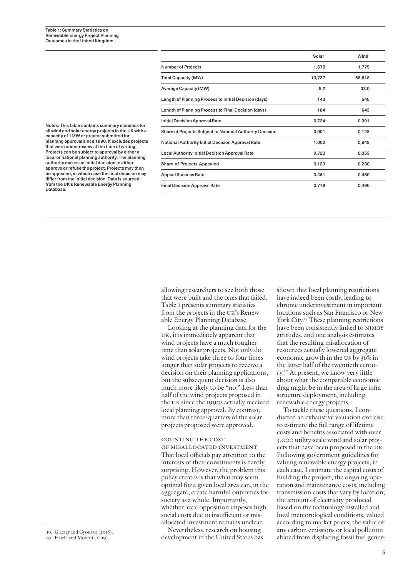|                                                          | Solar  | Wind   |
|----------------------------------------------------------|--------|--------|
| <b>Number of Projects</b>                                | 1,675  | 1,775  |
| <b>Total Capacity (MW)</b>                               | 13,737 | 58,618 |
| <b>Average Capacity (MW)</b>                             | 8.2    | 33.0   |
| Length of Planning Process to Initial Decision (days)    | 143    | 545    |
| Length of Planning Process to Final Decision (days)      | 184    | 643    |
| <b>Initial Decision Approval Rate</b>                    | 0.724  | 0.391  |
| Share of Projects Subject to National Authority Decision | 0.001  | 0.128  |
| <b>National Authority Initial Decision Approval Rate</b> | 1.000  | 0.648  |
| <b>Local Authority Initial Decision Approval Rate</b>    | 0.723  | 0.353  |
| <b>Share of Projects Appealed</b>                        | 0.123  | 0.230  |
| <b>Appeal Success Rate</b>                               | 0.461  | 0.460  |
| <b>Final Decision Approval Rate</b>                      | 0.779  | 0.490  |

Notes: This table contains summary statistics for all wind and solar energy projects in the UK with a capacity of 1MW or greater submitted for planning approval since 1990. It excludes projects that were under review at the time of writing. Projects can be subject to approval by either a local or national planning authority. The planning authority makes an initial decision to either approve or refuse the project. Projects may then be appealed, in which case the final decision may differ from the initial decision. Data is sourced from the UK's Renewable Energy Planning Database.

> allowing researchers to see both those that were built and the ones that failed. Table 1 presents summary statistics from the projects in the UK's Renewable Energy Planning Database.

Looking at the planning data for the UK, it is immediately apparent that wind projects have a much tougher time than solar projects. Not only do wind projects take three to four times longer than solar projects to receive a decision on their planning applications, but the subsequent decision is also much more likely to be "no." Less than half of the wind projects proposed in the UK since the 1990s actually received local planning approval. By contrast, more than three-quarters of the solar projects proposed were approved.

#### Counting the Cost

of Misallocated Investment That local officials pay attention to the interests of their constituents is hardly surprising. However, the problem this policy creates is that what may seem optimal for a given local area can, in the aggregate, create harmful outcomes for society as a whole. Importantly, whether local opposition imposes high social costs due to insufficient or misallocated investment remains unclear.

Nevertheless, research on housing development in the United States has shown that local planning restrictions have indeed been costly, leading to chronic underinvestment in important locations such as San Francisco or New York City.19 These planning restrictions have been consistently linked to NIMBY attitudes, and one analysis estimates that the resulting misallocation of resources actually lowered aggregate economic growth in the US by 36% in the latter half of the twentieth century.20 At present, we know very little about what the comparable economic drag might be in the area of large infrastructure deployment, including renewable energy projects.

To tackle these questions, I conducted an exhaustive valuation exercise to estimate the full range of lifetime costs and benefits associated with over 3,000 utility-scale wind and solar projects that have been proposed in the UK. Following government guidelines for valuing renewable energy projects, in each case, I estimate the capital costs of building the project; the ongoing operation and maintenance costs, including transmission costs that vary by location; the amount of electricity produced based on the technology installed and local meteorological conditions, valued according to market prices; the value of any carbon emissions or local pollution 19. Glaeser and Gyourko (2018).<br>20. Hsieh and Moretti (2019). The development in the United States has a bated from displacing fossil fuel gener-

<sup>20.</sup> Hsieh and Moretti (2019).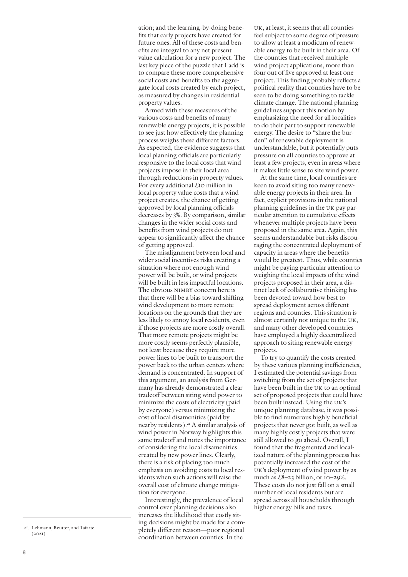ation; and the learning-by-doing benefits that early projects have created for future ones. All of these costs and benefits are integral to any net present value calculation for a new project. The last key piece of the puzzle that I add is to compare these more comprehensive social costs and benefits to the aggregate local costs created by each project, as measured by changes in residential property values.

Armed with these measures of the various costs and benefits of many renewable energy projects, it is possible to see just how effectively the planning process weighs these different factors. As expected, the evidence suggests that local planning officials are particularly responsive to the local costs that wind projects impose in their local area through reductions in property values. For every additional £10 million in local property value costs that a wind project creates, the chance of getting approved by local planning officials decreases by 3%. By comparison, similar changes in the wider social costs and benefits from wind projects do not appear to significantly affect the chance of getting approved.

The misalignment between local and wider social incentives risks creating a situation where not enough wind power will be built, or wind projects will be built in less impactful locations. The obvious NIMBY concern here is that there will be a bias toward shifting wind development to more remote locations on the grounds that they are less likely to annoy local residents, even if those projects are more costly overall. That more remote projects might be more costly seems perfectly plausible, not least because they require more power lines to be built to transport the power back to the urban centers where demand is concentrated. In support of this argument, an analysis from Germany has already demonstrated a clear tradeoff between siting wind power to minimize the costs of electricity (paid by everyone) versus minimizing the cost of local disamenities (paid by nearby residents).21 A similar analysis of wind power in Norway highlights this same tradeoff and notes the importance of considering the local disamenities created by new power lines. Clearly, there is a risk of placing too much emphasis on avoiding costs to local residents when such actions will raise the overall cost of climate change mitigation for everyone.

Interestingly, the prevalence of local control over planning decisions also increases the likelihood that costly siting decisions might be made for a completely different reason—poor regional coordination between counties. In the

UK, at least, it seems that all counties feel subject to some degree of pressure to allow at least a modicum of renewable energy to be built in their area. Of the counties that received multiple wind project applications, more than four out of five approved at least one project. This finding probably reflects a political reality that counties have to be seen to be doing something to tackle climate change. The national planning guidelines support this notion by emphasizing the need for all localities to do their part to support renewable energy. The desire to "share the burden" of renewable deployment is understandable, but it potentially puts pressure on all counties to approve at least a few projects, even in areas where it makes little sense to site wind power.

At the same time, local counties are keen to avoid siting too many renewable energy projects in their area. In fact, explicit provisions in the national planning guidelines in the UK pay particular attention to cumulative effects whenever multiple projects have been proposed in the same area. Again, this seems understandable but risks discouraging the concentrated deployment of capacity in areas where the benefits would be greatest. Thus, while counties might be paying particular attention to weighing the local impacts of the wind projects proposed in their area, a distinct lack of collaborative thinking has been devoted toward how best to spread deployment across different regions and counties. This situation is almost certainly not unique to the UK, and many other developed countries have employed a highly decentralized approach to siting renewable energy projects.

To try to quantify the costs created by these various planning inefficiencies, I estimated the potential savings from switching from the set of projects that have been built in the UK to an optimal set of proposed projects that could have been built instead. Using the UK's unique planning database, it was possible to find numerous highly beneficial projects that never got built, as well as many highly costly projects that were still allowed to go ahead. Overall, I found that the fragmented and localized nature of the planning process has potentially increased the cost of the UK's deployment of wind power by as much as  $£8-23$  billion, or  $I0-29\%$ . These costs do not just fall on a small number of local residents but are spread across all households through higher energy bills and taxes.

<sup>21.</sup> Lehmann, Reutter, and Tafarte  $(2.021)$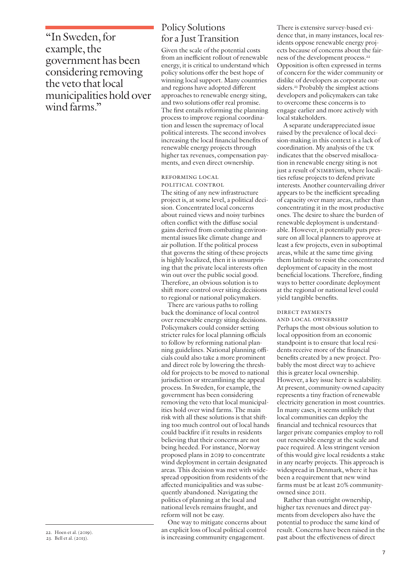"In Sweden, for example, the government has been considering removing the veto that local municipalities hold over wind farms."

Given the scale of the potential costs from an inefficient rollout of renewable energy, it is critical to understand which policy solutions offer the best hope of winning local support. Many countries and regions have adopted different approaches to renewable energy siting, and two solutions offer real promise. The first entails reforming the planning process to improve regional coordination and lessen the supremacy of local political interests. The second involves increasing the local financial benefits of renewable energy projects through higher tax revenues, compensation payments, and even direct ownership.

#### Reforming Local Political Control

The siting of any new infrastructure project is, at some level, a political decision. Concentrated local concerns about ruined views and noisy turbines often conflict with the diffuse social gains derived from combating environmental issues like climate change and air pollution. If the political process that governs the siting of these projects is highly localized, then it is unsurprising that the private local interests often win out over the public social good. Therefore, an obvious solution is to shift more control over siting decisions to regional or national policymakers.

There are various paths to rolling back the dominance of local control over renewable energy siting decisions. Policymakers could consider setting stricter rules for local planning officials to follow by reforming national planning guidelines. National planning officials could also take a more prominent and direct role by lowering the threshold for projects to be moved to national jurisdiction or streamlining the appeal process. In Sweden, for example, the government has been considering removing the veto that local municipalities hold over wind farms. The main risk with all these solutions is that shifting too much control out of local hands could backfire if it results in residents believing that their concerns are not being heeded. For instance, Norway proposed plans in 2019 to concentrate wind deployment in certain designated areas. This decision was met with widespread opposition from residents of the affected municipalities and was subsequently abandoned. Navigating the politics of planning at the local and national levels remains fraught, and reform will not be easy.

One way to mitigate concerns about an explicit loss of local political control is increasing community engagement. 22. Hoen et al. (2019).<br>
23. Bell et al. (2013).<br>
23. Bell et al. (2013).<br>
23. Bell et al. (2013).

There is extensive survey-based evidence that, in many instances, local residents oppose renewable energy projects because of concerns about the fairness of the development process.<sup>22</sup> Opposition is often expressed in terms of concern for the wider community or dislike of developers as corporate outsiders.<sup>23</sup> Probably the simplest actions developers and policymakers can take to overcome these concerns is to engage earlier and more actively with local stakeholders.

A separate underappreciated issue raised by the prevalence of local decision-making in this context is a lack of coordination. My analysis of the UK indicates that the observed misallocation in renewable energy siting is not just a result of NIMBYism, where localities refuse projects to defend private interests. Another countervailing driver appears to be the inefficient spreading of capacity over many areas, rather than concentrating it in the most productive ones. The desire to share the burden of renewable deployment is understandable. However, it potentially puts pressure on all local planners to approve at least a few projects, even in suboptimal areas, while at the same time giving them latitude to resist the concentrated deployment of capacity in the most beneficial locations. Therefore, finding ways to better coordinate deployment at the regional or national level could yield tangible benefits.

#### Direct Payments

and Local Ownership

Perhaps the most obvious solution to local opposition from an economic standpoint is to ensure that local residents receive more of the financial benefits created by a new project. Probably the most direct way to achieve this is greater local ownership. However, a key issue here is scalability. At present, community-owned capacity represents a tiny fraction of renewable electricity generation in most countries. In many cases, it seems unlikely that local communities can deploy the financial and technical resources that larger private companies employ to roll out renewable energy at the scale and pace required. A less stringent version of this would give local residents a stake in any nearby projects. This approach is widespread in Denmark, where it has been a requirement that new wind farms must be at least 20% communityowned since 2011.

Rather than outright ownership, higher tax revenues and direct payments from developers also have the potential to produce the same kind of result. Concerns have been raised in the

Policy Solutions for a Just Transition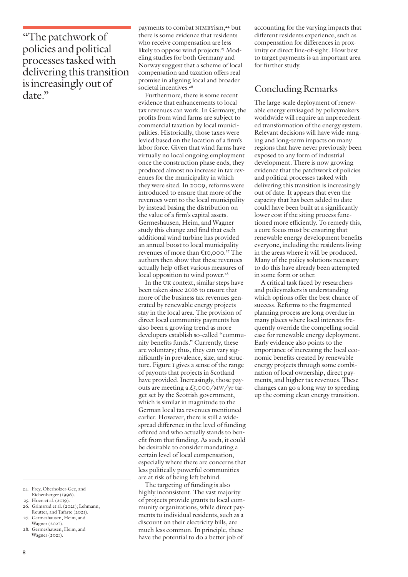"The patchwork of policies and political processes tasked with delivering this transition is increasingly out of date."

Furthermore, there is some recent evidence that enhancements to local tax revenues can work. In Germany, the profits from wind farms are subject to commercial taxation by local municipalities. Historically, those taxes were levied based on the location of a firm's labor force. Given that wind farms have virtually no local ongoing employment once the construction phase ends, they produced almost no increase in tax revenues for the municipality in which they were sited. In 2009, reforms were introduced to ensure that more of the revenues went to the local municipality by instead basing the distribution on the value of a firm's capital assets. Germeshausen, Heim, and Wagner study this change and find that each additional wind turbine has provided an annual boost to local municipality revenues of more than €10,000.27 The authors then show that these revenues actually help offset various measures of local opposition to wind power.<sup>28</sup>

In the UK context, similar steps have been taken since 2016 to ensure that more of the business tax revenues generated by renewable energy projects stay in the local area. The provision of direct local community payments has also been a growing trend as more developers establish so-called "community benefits funds." Currently, these are voluntary; thus, they can vary significantly in prevalence, size, and structure. Figure 1 gives a sense of the range of payouts that projects in Scotland have provided. Increasingly, those payouts are meeting a  $\pounds$ 5,000/MW/yr target set by the Scottish government, which is similar in magnitude to the German local tax revenues mentioned earlier. However, there is still a widespread difference in the level of funding offered and who actually stands to benefit from that funding. As such, it could be desirable to consider mandating a certain level of local compensation, especially where there are concerns that less politically powerful communities are at risk of being left behind.

The targeting of funding is also highly inconsistent. The vast majority of projects provide grants to local community organizations, while direct payments to individual residents, such as a discount on their electricity bills, are much less common. In principle, these have the potential to do a better job of

accounting for the varying impacts that different residents experience, such as compensation for differences in proximity or direct line-of-sight. How best to target payments is an important area for further study.

## Concluding Remarks

The large-scale deployment of renewable energy envisaged by policymakers worldwide will require an unprecedented transformation of the energy system. Relevant decisions will have wide-ranging and long-term impacts on many regions that have never previously been exposed to any form of industrial development. There is now growing evidence that the patchwork of policies and political processes tasked with delivering this transition is increasingly out of date. It appears that even the capacity that has been added to date could have been built at a significantly lower cost if the siting process functioned more efficiently. To remedy this, a core focus must be ensuring that renewable energy development benefits everyone, including the residents living in the areas where it will be produced. Many of the policy solutions necessary to do this have already been attempted in some form or other.

A critical task faced by researchers and policymakers is understanding which options offer the best chance of success. Reforms to the fragmented planning process are long overdue in many places where local interests frequently override the compelling social case for renewable energy deployment. Early evidence also points to the importance of increasing the local economic benefits created by renewable energy projects through some combination of local ownership, direct payments, and higher tax revenues. These changes can go a long way to speeding up the coming clean energy transition.

- 25. Hoen et al. (2019).
- 26. Grimsrud et al. (2021); Lehmann, Reutter, and Tafarte (2021).
- 27. Germeshausen, Heim, and Wagner (2021).
- 28. Germeshausen, Heim, and Wagner (2021).

payments to combat NIMBYism,<sup>24</sup> but there is some evidence that residents who receive compensation are less likely to oppose wind projects.<sup>25</sup> Modeling studies for both Germany and Norway suggest that a scheme of local compensation and taxation offers real promise in aligning local and broader societal incentives.<sup>26</sup>

<sup>24.</sup> Frey, Oberholzer-Gee, and Eichenberger (1996).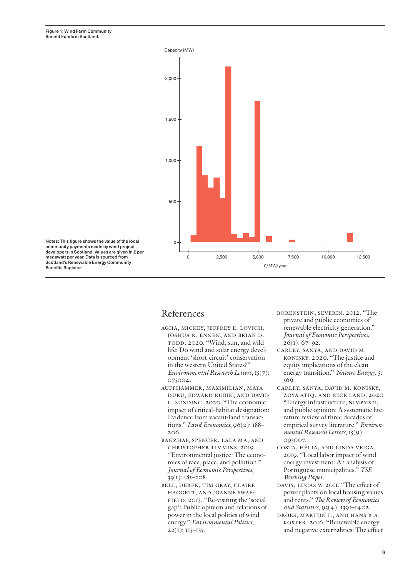

Notes: This figure shows the value of the local community payments made by wind project developers in Scotland. Values are given in £ per megawatt per year. Data is sourced from Scotland's Renewable Energy Community Benefits Register.

## References

- Agha, Mickey, Jeffrey E. Lovich, Joshua R. Ennen, and Brian D. TODD. 2020. "Wind, sun, and wildlife: Do wind and solar energy development 'short-circuit' conservation in the western United States?" *Environmental Research Letters*, 15(7): 075004.
- Auffhammer, Maximilian, Maya Duru, Edward Rubin, and David L. SUNDING. 2020. "The economic impact of critical-habitat designation: Evidence from vacant-land transactions." *Land Economics*, 96(2): 188– 206.
- Banzhaf, Spencer, Lala Ma, and Christopher Timmins. 2019. "Environmental justice: The economics of race, place, and pollution." *Journal of Economic Perspectives*,  $33(1)$ :  $185-208$ .
- Bell, Derek, Tim Gray, Claire HAGGETT, AND JOANNE SWAFfield. 2013. "Re-visiting the 'social gap': Public opinion and relations of power in the local politics of wind energy." *Environmental Politics*,  $22(I): II5-I35.$
- Borenstein, Severin. 2012. "The private and public economics of renewable electricity generation." *Journal of Economic Perspectives*,  $26(1)$ : 67–92.
- Carley, Sanya, and David M. Konisky. 2020. "The justice and equity implications of the clean energy transition." *Nature Energy*, 5: 569.
- Carley, Sanya, David M. Konisky, Zoya Atiq, and Nick Land. 2020. "Energy infrastructure, NIMBYism, and public opinion: A systematic literature review of three decades of empirical survey literature." *Environmental Research Letters*, 15(9): 093007.
- Costa, Hélia, and Linda Veiga. 2019. "Local labor impact of wind energy investment: An analysis of Portuguese municipalities." *TSE Working Paper*.
- Davis, Lucas W. 2011. "The effect of power plants on local housing values and rents." *The Review of Economics and Statistics*, 93(4): 1391–1402.
- Dröes, Martijn I., and Hans R.A. Koster. 2016. "Renewable energy and negative externalities: The effect